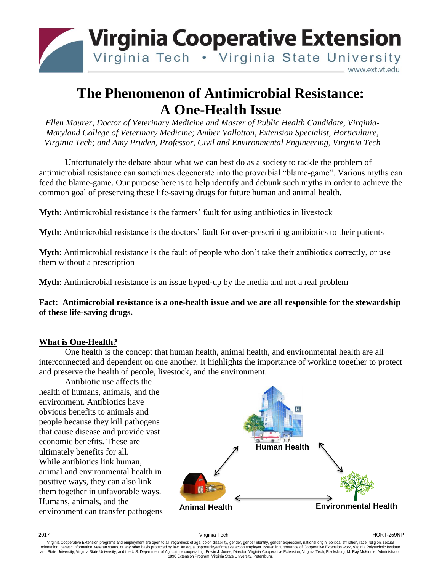

## **The Phenomenon of Antimicrobial Resistance: A One-Health Issue**

*Ellen Maurer, Doctor of Veterinary Medicine and Master of Public Health Candidate, Virginia-Maryland College of Veterinary Medicine; Amber Vallotton, Extension Specialist, Horticulture, Virginia Tech; and Amy Pruden, Professor, Civil and Environmental Engineering, Virginia Tech*

Unfortunately the debate about what we can best do as a society to tackle the problem of antimicrobial resistance can sometimes degenerate into the proverbial "blame-game". Various myths can feed the blame-game. Our purpose here is to help identify and debunk such myths in order to achieve the common goal of preserving these life-saving drugs for future human and animal health.

**Myth**: Antimicrobial resistance is the farmers' fault for using antibiotics in livestock

**Myth**: Antimicrobial resistance is the doctors' fault for over-prescribing antibiotics to their patients

**Myth**: Antimicrobial resistance is the fault of people who don't take their antibiotics correctly, or use them without a prescription

**Myth**: Antimicrobial resistance is an issue hyped-up by the media and not a real problem

**Fact: Antimicrobial resistance is a one-health issue and we are all responsible for the stewardship of these life-saving drugs.**

## **What is One-Health?**

One health is the concept that human health, animal health, and environmental health are all interconnected and dependent on one another. It highlights the importance of working together to protect and preserve the health of people, livestock, and the environment.

Antibiotic use affects the health of humans, animals, and the environment. Antibiotics have obvious benefits to animals and people because they kill pathogens that cause disease and provide vast economic benefits. These are ultimately benefits for all. While antibiotics link human, animal and environmental health in positive ways, they can also link them together in unfavorable ways. Humans, animals, and the environment can transfer pathogens



Virginia Cooperative Extension programs and employment are open to all, regardless of age, color, disability, gender, gender identity, gender expression, national origin, political affiliation, race, religion, sexual orientation, genetic information, veteran status, or any other basis protected by law. An equal opportunity/affirmative action employer. Issued in furtherance of Cooperative Extension work, Virginia Polytechnic Institute<br>a 1890 Extension Program, Virginia State University, Petersburg.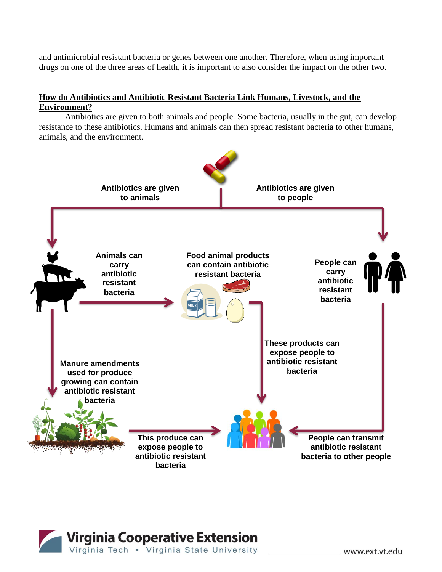and antimicrobial resistant bacteria or genes between one another. Therefore, when using important drugs on one of the three areas of health, it is important to also consider the impact on the other two.

## **How do Antibiotics and Antibiotic Resistant Bacteria Link Humans, Livestock, and the Environment?**

Antibiotics are given to both animals and people. Some bacteria, usually in the gut, can develop resistance to these antibiotics. Humans and animals can then spread resistant bacteria to other humans, animals, and the environment.